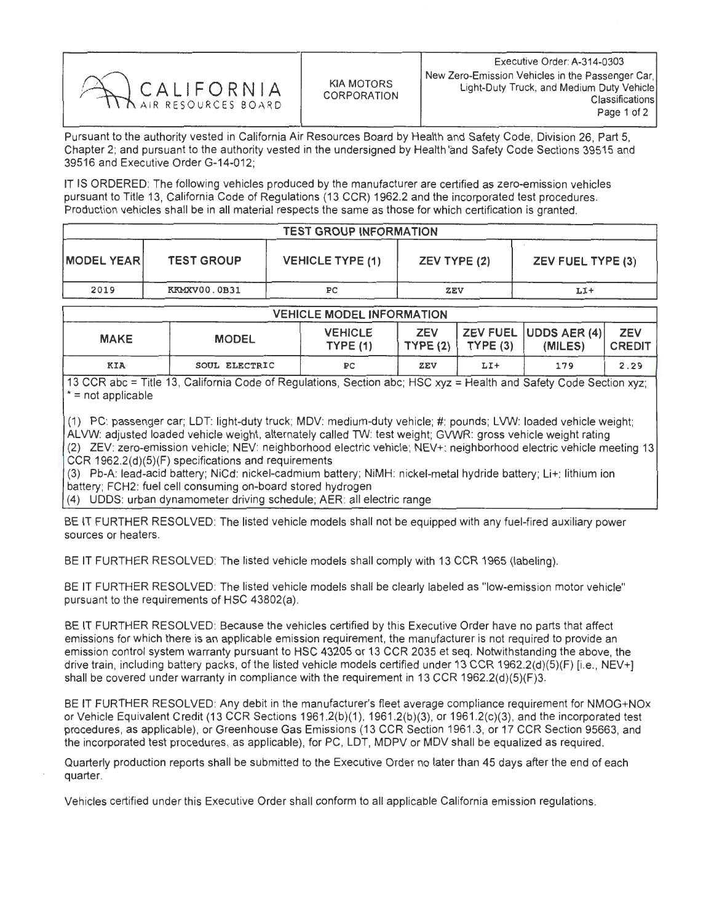

Pursuant to the authority vested in California Air Resources Board by Health and Safety Code, Division 26, Part 5, Chapter 2; and pursuant to the authority vested in the undersigned by Health 'and Safety Code Sections 39515 and 39516 and Executive Order G-14-012;

IT IS ORDERED: The following vehicles produced by the manufacturer are certified as zero-emission vehicles pursuant to Title 13, California Code of Regulations (13 CCR) 1962.2 and the incorporated test procedures Production vehicles shall be in all material respects the same as those for which certification is granted.

| <b>TEST GROUP INFORMATION</b> |                   |                         |              |                          |  |  |  |  |
|-------------------------------|-------------------|-------------------------|--------------|--------------------------|--|--|--|--|
| <b>IMODEL YEARI</b>           | <b>TEST GROUP</b> | <b>VEHICLE TYPE (1)</b> | ZEV TYPE (2) | <b>ZEV FUEL TYPE (3)</b> |  |  |  |  |
| 2019                          | KKMXV00.0B31      | ÞС                      | <b>ZEV</b>   | LI+                      |  |  |  |  |

| <b>VEHICLE MODEL INFORMATION</b> |               |                                   |            |                    |                                              |                             |  |  |  |  |
|----------------------------------|---------------|-----------------------------------|------------|--------------------|----------------------------------------------|-----------------------------|--|--|--|--|
| <b>MAKE</b>                      | <b>MODEL</b>  | <b>VEHICLE</b><br><b>TYPE (1)</b> | <b>ZEV</b> | $TYPE(2)$ TYPE (3) | $ $ ZEV FUEL $ $ UDDS AER (4) $ $<br>(MILES) | <b>ZEV</b><br><b>CREDIT</b> |  |  |  |  |
| <b>KIA</b>                       | SOUL ELECTRIC | PС                                | ZEV        | LI+                | 179                                          | 2.29                        |  |  |  |  |

13 CCR abc = Title 13, California Code of Regulations, Section abc; HSC xyz = Health and Safety Code Section xyz; \* = not applicable

(1) PC: passenger car; LDT: light-duty truck; MDV: medium-duty vehicle; #: pounds; LVW: loaded vehicle weight; ALVW: adjusted loaded vehicle weight, alternately called TW: test weight; GVWR: gross vehicle weight rating (2) ZEV: zero-emission vehicle; NEV: neighborhood electric vehicle; NEV+: neighborhood electric vehicle meeting 13 CCR 1962.2(d)(5)(F) specifications and requirements

(3) Pb-A: lead-acid battery; NiCd: nickel-cadmium battery; NiMH: nickel-metal hydride battery; Li+: lithium ion<br>battery; FCH2: fuel cell consuming on-board stored hydrogen battery; FCH2: fuel cell consuming on-board stored hydrogen

(4) UDDS: urban dynamometer driving schedule; AER: all electric range

BE IT FURTHER RESOLVED: The listed vehicle models shall not be equipped with any fuel-fired auxiliary power sources or heaters.

BE IT FURTHER RESOLVED: The listed vehicle models shall comply with 13 CCR 1965 (labeling).

BE IT FURTHER RESOLVED: The listed vehicle models shall be clearly labeled as "low-emission motor vehicle" pursuant to the requirements of HSC 43802(a)

BE IT FURTHER RESOLVED: Because the vehicles certified by this Executive Order have no parts that affect emissions for which there is an applicable emission requirement, the manufacturer is not required to provide an emission control system warranty pursuant to HSC 43205 or 13 CCR 2035 et seq. Notwithstanding the above, the drive train, including battery packs, of the listed vehicle models certified under 13 CCR 1962.2(d)(5)(F) [i.e., NEV+] shall be covered under warranty in compliance with the requirement in 13 CCR 1962.2(d)(5)(F)3.

BE IT FURTHER RESOLVED: Any debit in the manufacturer's fleet average compliance requirement for NMOG+NOx or Vehicle Equivalent Credit (13 CCR Sections 1961.2(b)(1), 1961.2(b)(3), or 1961.2(c)(3), and the incorporated test procedures, as applicable), or Greenhouse Gas Emissions (13 CCR Section 1961.3, or 17 CCR Section 95663, and the incorporated test procedures, as applicable), for PC, LDT, MDPV or MDV shall be equalized as required.

Quarterly production reports shall be submitted to the Executive Order no later than 45 days after the end of each quarter.

Vehicles certified under this Executive Order shall conform to all applicable California emission regulations.